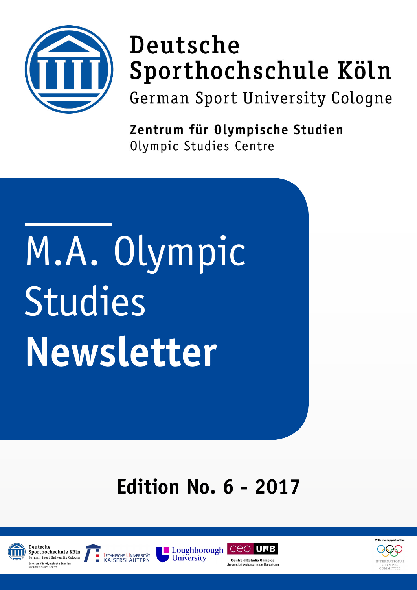

## Deutsche Sporthochschule Köln

German Sport University Cologne

Zentrum für Olympische Studien Olympic Studies Centre

# M.A. Olympic Studies **Newsletter**

### **Edition No. 6 - 2017**









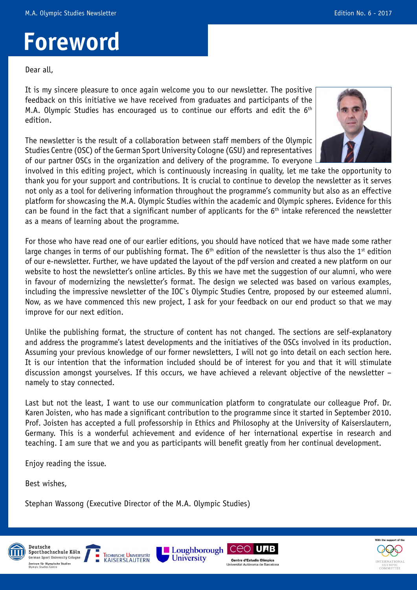### **Foreword**

Dear all,

It is my sincere pleasure to once again welcome you to our newsletter. The positive feedback on this initiative we have received from graduates and participants of the M.A. Olympic Studies has encouraged us to continue our efforts and edit the 6<sup>th</sup> edition.

The newsletter is the result of a collaboration between staff members of the Olympic Studies Centre (OSC) of the German Sport University Cologne (GSU) and representatives of our partner OSCs in the organization and delivery of the programme. To everyone



involved in this editing project, which is continuously increasing in quality, let me take the opportunity to thank you for your support and contributions. It is crucial to continue to develop the newsletter as it serves not only as a tool for delivering information throughout the programme's community but also as an effective platform for showcasing the M.A. Olympic Studies within the academic and Olympic spheres. Evidence for this can be found in the fact that a significant number of applicants for the  $6<sup>th</sup>$  intake referenced the newsletter as a means of learning about the programme.

For those who have read one of our earlier editions, you should have noticed that we have made some rather large changes in terms of our publishing format. The  $6<sup>th</sup>$  edition of the newsletter is thus also the 1<sup>st</sup> edition of our e-newsletter. Further, we have updated the layout of the pdf version and created a new platform on our website to host the newsletter's online articles. By this we have met the suggestion of our alumni, who were in favour of modernizing the newsletter's format. The design we selected was based on various examples, including the impressive newsletter of the IOC`s Olympic Studies Centre, proposed by our esteemed alumni. Now, as we have commenced this new project, I ask for your feedback on our end product so that we may improve for our next edition.

Unlike the publishing format, the structure of content has not changed. The sections are self-explanatory and address the programme's latest developments and the initiatives of the OSCs involved in its production. Assuming your previous knowledge of our former newsletters, I will not go into detail on each section here. It is our intention that the information included should be of interest for you and that it will stimulate discussion amongst yourselves. If this occurs, we have achieved a relevant objective of the newsletter – namely to stay connected.

Last but not the least, I want to use our communication platform to congratulate our colleague Prof. Dr. Karen Joisten, who has made a significant contribution to the programme since it started in September 2010. Prof. Joisten has accepted a full professorship in Ethics and Philosophy at the University of Kaiserslautern, Germany. This is a wonderful achievement and evidence of her international expertise in research and teaching. I am sure that we and you as participants will benefit greatly from her continual development.

Enjoy reading the issue.

Best wishes,

Stephan Wassong (Executive Director of the M.A. Olympic Studies)









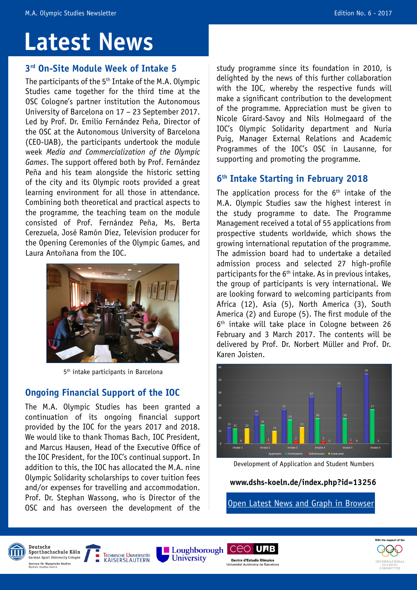### **Latest News**

The participants of the 5th Intake of the M.A. Olympic Studies came together for the third time at the OSC Cologne's partner institution the Autonomous University of Barcelona on 17 – 23 September 2017. Led by Prof. Dr. Emilio Fernández Peña, Director of the OSC at the Autonomous University of Barcelona (CEO-UAB), the participants undertook the module week *Media and Commercialization of the Olympic Games*. The support offered both by Prof. Fernández Peña and his team alongside the historic setting of the city and its Olympic roots provided a great learning environment for all those in attendance. Combining both theoretical and practical aspects to the programme, the teaching team on the module consisted of Prof. Fernández Peña, Ms. Berta Cerezuela, José Ramón Díez, Television producer for the Opening Ceremonies of the Olympic Games, and Laura Antoñana from the IOC.



5<sup>th</sup> intake participants in Barcelona

### **Ongoing Financial Support of the IOC**

The M.A. Olympic Studies has been granted a continuation of its ongoing financial support provided by the IOC for the years 2017 and 2018. We would like to thank Thomas Bach, IOC President, and Marcus Hausen, Head of the Executive Office of the IOC President, for the IOC's continual support. In addition to this, the IOC has allocated the M.A. nine Olympic Solidarity scholarships to cover tuition fees and/or expenses for travelling and accommodation. Prof. Dr. Stephan Wassong, who is Director of the OSC and has overseen the development of the

**3<sup>rd</sup> On-Site Module Week of Intake 5** study programme since its foundation in 2010, is delighted by the news of this further collaboration with the IOC, whereby the respective funds will make a significant contribution to the development of the programme. Appreciation must be given to Nicole Girard-Savoy and Nils Holmegaard of the IOC's Olympic Solidarity department and Nuria Puig, Manager External Relations and Academic Programmes of the IOC's OSC in Lausanne, for supporting and promoting the programme.

### **6th Intake Starting in February 2018**

The application process for the  $6<sup>th</sup>$  intake of the M.A. Olympic Studies saw the highest interest in the study programme to date. The Programme Management received a total of 55 applications from prospective students worldwide, which shows the growing international reputation of the programme. The admission board had to undertake a detailed admission process and selected 27 high-profile participants for the  $6<sup>th</sup>$  intake. As in previous intakes, the group of participants is very international. We are looking forward to welcoming participants from Africa (12), Asia (5), North America (3), South America (2) and Europe (5). The first module of the  $6<sup>th</sup>$  intake will take place in Cologne between 26 February and 3 March 2017. The contents will be delivered by Prof. Dr. Norbert Müller and Prof. Dr. Karen Joisten.



Development of Application and Student Numbers

#### **[www.dshs-koeln.de/index.php?id=13256](http://www.dshs-koeln.de/index.php?id=13256)**

[Open Latest News and Graph in Browser](http://diagorasjournal.com)











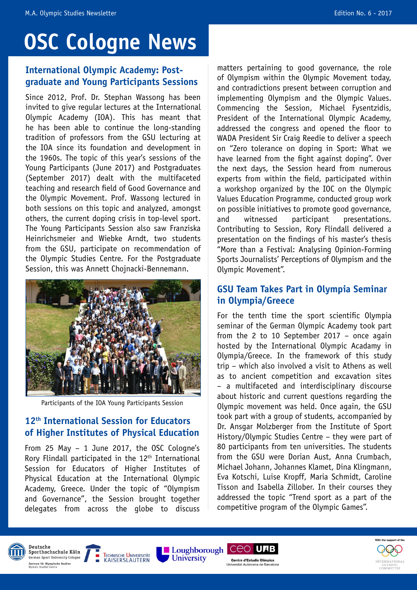### **OSC Cologne News**

### **International Olympic Academy: Postgraduate and Young Participants Sessions**

Since 2012, Prof. Dr. Stephan Wassong has been invited to give regular lectures at the International Olympic Academy (IOA). This has meant that he has been able to continue the long-standing tradition of professors from the GSU lecturing at the IOA since its foundation and development in the 1960s. The topic of this year's sessions of the Young Participants (June 2017) and Postgraduates (September 2017) dealt with the multifaceted teaching and research field of Good Governance and the Olympic Movement. Prof. Wassong lectured in both sessions on this topic and analyzed, amongst others, the current doping crisis in top-level sport. The Young Participants Session also saw Franziska Heinrichsmeier and Wiebke Arndt, two students from the GSU, participate on recommendation of the Olympic Studies Centre. For the Postgraduate Session, this was Annett Chojnacki-Bennemann.



Participants of the IOA Young Participants Session

### **12th International Session for Educators of Higher Institutes of Physical Education**

From 25 May – 1 June 2017, the OSC Cologne's Rory Flindall participated in the  $12<sup>th</sup>$  International Session for Educators of Higher Institutes of Physical Education at the International Olympic Academy, Greece. Under the topic of "Olympism and Governance", the Session brought together delegates from across the globe to discuss

**TECHNISCHE UNIVERSITÄT** 

**KAISERSLAUTERN** 

matters pertaining to good governance, the role of Olympism within the Olympic Movement today, and contradictions present between corruption and implementing Olympism and the Olympic Values. Commencing the Session, Michael Fysentzidis, President of the International Olympic Academy, addressed the congress and opened the floor to WADA President Sir Craig Reedie to deliver a speech on "Zero tolerance on doping in Sport: What we have learned from the fight against doping". Over the next days, the Session heard from numerous experts from within the field, participated within a workshop organized by the IOC on the Olympic Values Education Programme, conducted group work on possible initiatives to promote good governance, and witnessed participant presentations. Contributing to Session, Rory Flindall delivered a presentation on the findings of his master's thesis "More than a Festival: Analysing Opinion-Forming Sports Journalists' Perceptions of Olympism and the Olympic Movement".

### **GSU Team Takes Part in Olympia Seminar in Olympia/Greece**

For the tenth time the sport scientific Olympia seminar of the German Olympic Academy took part from the 2 to 10 September 2017 – once again hosted by the International Olympic Acadamy in Olympia/Greece. In the framework of this study trip – which also involved a visit to Athens as well as to ancient competition and excavation sites – a multifaceted and interdisciplinary discourse about historic and current questions regarding the Olympic movement was held. Once again, the GSU took part with a group of students, accompanied by Dr. Ansgar Molzberger from the Institute of Sport History/Olympic Studies Centre – they were part of 80 participants from ten universities. The students from the GSU were Dorian Aust, Anna Crumbach, Michael Johann, Johannes Klamet, Dina Klingmann, Eva Kotschi, Luise Kropff, Maria Schmidt, Caroline Tisson and Isabella Zillober. In their courses they addressed the topic "Trend sport as a part of the competitive program of the Olympic Games".









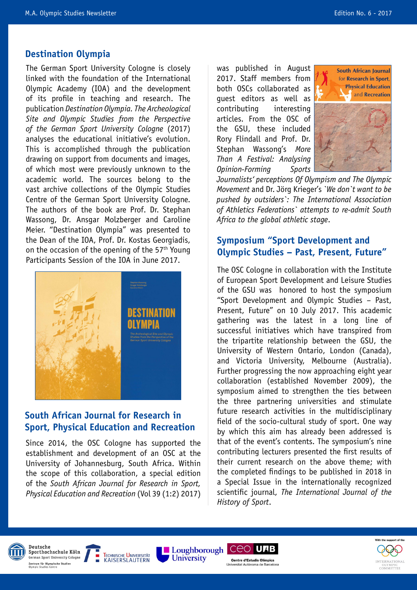#### **Destination Olympia**

The German Sport University Cologne is closely linked with the foundation of the International Olympic Academy (IOA) and the development of its profile in teaching and research. The publication *Destination Olympia. The Archeological Site and Olympic Studies from the Perspective of the German Sport University Cologne* (2017) analyses the educational initiative's evolution. This is accomplished through the publication drawing on support from documents and images, of which most were previously unknown to the academic world. The sources belong to the vast archive collections of the Olympic Studies Centre of the German Sport University Cologne. The authors of the book are Prof. Dr. Stephan Wassong, Dr. Ansgar Molzberger and Caroline Meier. "Destination Olympia" was presented to the Dean of the IOA, Prof. Dr. Kostas Georgiadis, on the occasion of the opening of the  $57<sup>th</sup>$  Young Participants Session of the IOA in June 2017.



### **South African Journal for Research in Sport, Physical Education and Recreation**

Since 2014, the OSC Cologne has supported the establishment and development of an OSC at the University of Johannesburg, South Africa. Within the scope of this collaboration, a special edition of the *South African Journal for Research in Sport, Physical Education and Recreation* (Vol 39 (1:2) 2017) was published in August 2017. Staff members from both OSCs collaborated as guest editors as well as contributing interesting articles. From the OSC of the GSU, these included Rory Flindall and Prof. Dr. Stephan Wassong's *More Than A Festival: Analysing Opinion-Forming Sports* 



*Journalists' perceptions Of Olympism and The Olympic Movement* and Dr. Jörg Krieger's *`We don`t want to be pushed by outsiders`: The International Association of Athletics Federations` attempts to re-admit South Africa to the global athletic stage*.

#### **Symposium "Sport Development and Olympic Studies – Past, Present, Future"**

The OSC Cologne in collaboration with the Institute of European Sport Development and Leisure Studies of the GSU was honored to host the symposium "Sport Development and Olympic Studies – Past, Present, Future" on 10 July 2017. This academic gathering was the latest in a long line of successful initiatives which have transpired from the tripartite relationship between the GSU, the University of Western Ontario, London (Canada), and Victoria University, Melbourne (Australia). Further progressing the now approaching eight year collaboration (established November 2009), the symposium aimed to strengthen the ties between the three partnering universities and stimulate future research activities in the multidisciplinary field of the socio-cultural study of sport. One way by which this aim has already been addressed is that of the event's contents. The symposium's nine contributing lecturers presented the first results of their current research on the above theme; with the completed findings to be published in 2018 in a Special Issue in the internationally recognized scientific journal, *The International Journal of the History of Sport*.





Loughborough CEO UAB Centre d'Estudis Olímnics

inna

*University* 

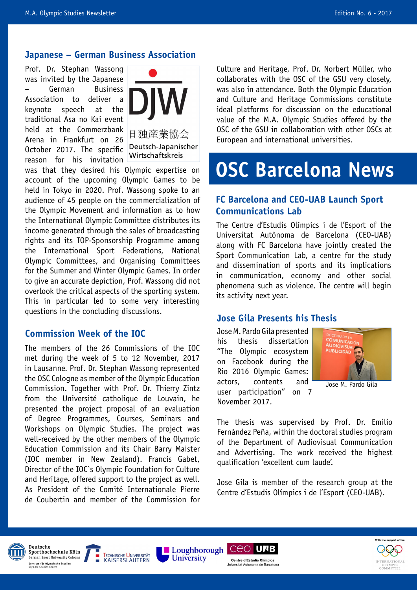#### **Japanese – German Business Association**

Prof. Dr. Stephan Wassong was invited by the Japanese – German Business Association to deliver a keynote speech at the traditional Asa no Kai event held at the Commerzbank Arena in Frankfurt on 26 October 2017. The specific reason for his invitation



was that they desired his Olympic expertise on account of the upcoming Olympic Games to be held in Tokyo in 2020. Prof. Wassong spoke to an audience of 45 people on the commercialization of the Olympic Movement and information as to how the International Olympic Committee distributes its income generated through the sales of broadcasting rights and its TOP-Sponsorship Programme among the International Sport Federations, National Olympic Committees, and Organising Committees for the Summer and Winter Olympic Games. In order to give an accurate depiction, Prof. Wassong did not overlook the critical aspects of the sporting system. This in particular led to some very interesting questions in the concluding discussions.

#### **Commission Week of the IOC**

The members of the 26 Commissions of the IOC met during the week of 5 to 12 November, 2017 in Lausanne. Prof. Dr. Stephan Wassong represented the OSC Cologne as member of the Olympic Education Commission. Together with Prof. Dr. Thierry Zintz from the Université catholique de Louvain, he presented the project proposal of an evaluation of Degree Programmes, Courses, Seminars and Workshops on Olympic Studies. The project was well-received by the other members of the Olympic Education Commission and its Chair Barry Maister (IOC member in New Zealand). Francis Gabet, Director of the IOC`s Olympic Foundation for Culture and Heritage, offered support to the project as well. As President of the Comité Internationale Pierre de Coubertin and member of the Commission for

Culture and Heritage, Prof. Dr. Norbert Müller, who collaborates with the OSC of the GSU very closely, was also in attendance. Both the Olympic Education and Culture and Heritage Commissions constitute ideal platforms for discussion on the educational value of the M.A. Olympic Studies offered by the OSC of the GSU in collaboration with other OSCs at European and international universities.

### **OSC Barcelona News**

### **FC Barcelona and CEO-UAB Launch Sport Communications Lab**

The Centre d'Estudis Olímpics i de l'Esport of the Universitat Autònoma de Barcelona (CEO-UAB) along with FC Barcelona have jointly created the Sport Communication Lab, a centre for the study and dissemination of sports and its implications in communication, economy and other social phenomena such as violence. The centre will begin its activity next year.

#### **Jose Gila Presents his Thesis**

Jose M. Pardo Gila presented his thesis dissertation "The Olympic ecosystem on Facebook during the Rio 2016 Olympic Games: actors, contents and user participation" on 7 November 2017.



Jose M. Pardo Gila

The thesis was supervised by Prof. Dr. Emilio Fernández Peña, within the doctoral studies program of the Department of Audiovisual Communication and Advertising. The work received the highest qualification 'excellent cum laude'.

Jose Gila is member of the research group at the Centre d'Estudis Olímpics i de l'Esport (CEO-UAB).









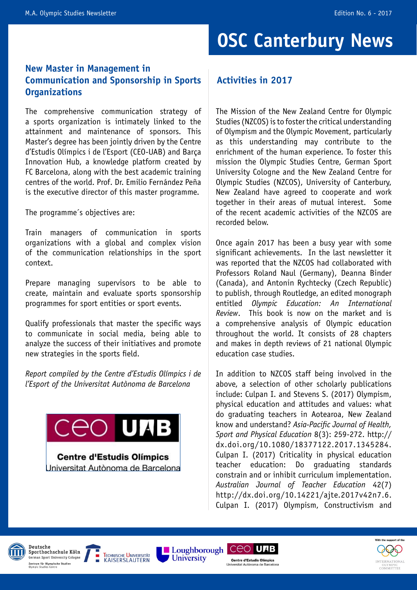### **OSC Canterbury News**

### **New Master in Management in Communication and Sponsorship in Sports Organizations**

The comprehensive communication strategy of a sports organization is intimately linked to the attainment and maintenance of sponsors. This Master's degree has been jointly driven by the Centre d'Estudis Olímpics i de l'Esport (CEO-UAB) and Barça Innovation Hub, a knowledge platform created by FC Barcelona, along with the best academic training centres of the world. Prof. Dr. Emilio Fernández Peña is the executive director of this master programme.

The programme´s objectives are:

Train managers of communication in sports organizations with a global and complex vision of the communication relationships in the sport context.

Prepare managing supervisors to be able to create, maintain and evaluate sports sponsorship programmes for sport entities or sport events.

Qualify professionals that master the specific ways to communicate in social media, being able to analyze the success of their initiatives and promote new strategies in the sports field.

*Report compiled by the Centre d'Estudis Olímpics i de l'Esport of the Universitat Autònoma de Barcelona*



**Centre d'Estudis Olímpics** Universitat Autònoma de Barcelona

### **Activities in 2017**

The Mission of the New Zealand Centre for Olympic Studies (NZCOS) is to foster the critical understanding of Olympism and the Olympic Movement, particularly as this understanding may contribute to the enrichment of the human experience. To foster this mission the Olympic Studies Centre, German Sport University Cologne and the New Zealand Centre for Olympic Studies (NZCOS), University of Canterbury, New Zealand have agreed to cooperate and work together in their areas of mutual interest. Some of the recent academic activities of the NZCOS are recorded below.

Once again 2017 has been a busy year with some significant achievements. In the last newsletter it was reported that the NZCOS had collaborated with Professors Roland Naul (Germany), Deanna Binder (Canada), and Antonin Rychtecky (Czech Republic) to publish, through Routledge, an edited monograph entitled *Olympic Education: An International Review*. This book is now on the market and is a comprehensive analysis of Olympic education throughout the world. It consists of 28 chapters and makes in depth reviews of 21 national Olympic education case studies.

In addition to NZCOS staff being involved in the above, a selection of other scholarly publications include: Culpan I. and Stevens S. (2017) Olympism, physical education and attitudes and values: what do graduating teachers in Aotearoa, New Zealand know and understand? *Asia-Pacific Journal of Health, Sport and Physical Education* 8(3): 259-272. http:// dx.doi.org/10.1080/18377122.2017.1345284. Culpan I. (2017) Criticality in physical education teacher education: Do graduating standards constrain and or inhibit curriculum implementation. *Australian Journal of Teacher Education* 42(7) http://dx.doi.org/10.14221/ajte.2017v42n7.6. Culpan I. (2017) Olympism, Constructivism and











Links

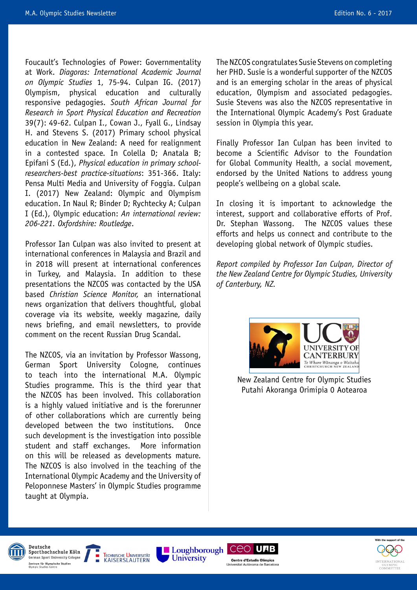Foucault's Technologies of Power: Governmentality at Work. *Diagoras: International Academic Journal on Olympic Studies* 1, 75-94. Culpan IG. (2017) Olympism, physical education and culturally responsive pedagogies. *South African Journal for Research in Sport Physical Education and Recreation*  39(7): 49-62. Culpan I., Cowan J., Fyall G., Lindsay H. and Stevens S. (2017) Primary school physical education in New Zealand: A need for realignment in a contested space. In Colella D; Anatala B; Epifani S (Ed.), *Physical education in primary schoolresearchers-best practice-situations*: 351-366. Italy: Pensa Multi Media and University of Foggia. Culpan I. (2017) New Zealand: Olympic and Olympism education. In Naul R; Binder D; Rychtecky A; Culpan I (Ed.), Olympic education: *An international review: 206-221. Oxfordshire: Routledge*.

Professor Ian Culpan was also invited to present at international conferences in Malaysia and Brazil and in 2018 will present at international conferences in Turkey, and Malaysia. In addition to these presentations the NZCOS was contacted by the USA based *Christian Science Monitor,* an international news organization that delivers thoughtful, global coverage via its website, weekly magazine, daily news briefing, and email newsletters, to provide comment on the recent Russian Drug Scandal.

The NZCOS, via an invitation by Professor Wassong, German Sport University Cologne, continues to teach into the international M.A. Olympic Studies programme. This is the third year that the NZCOS has been involved. This collaboration is a highly valued initiative and is the forerunner of other collaborations which are currently being developed between the two institutions. Once such development is the investigation into possible student and staff exchanges. More information on this will be released as developments mature. The NZCOS is also involved in the teaching of the International Olympic Academy and the University of Peloponnese Masters' in Olympic Studies programme taught at Olympia.

**TECHNISCHE UNIVERSITÄT** 

**KAISERSLAUTERN** 

The NZCOS congratulates Susie Stevens on completing her PHD. Susie is a wonderful supporter of the NZCOS and is an emerging scholar in the areas of physical education, Olympism and associated pedagogies. Susie Stevens was also the NZCOS representative in the International Olympic Academy's Post Graduate session in Olympia this year.

Finally Professor Ian Culpan has been invited to become a Scientific Advisor to the Foundation for Global Community Health, a social movement, endorsed by the United Nations to address young people's wellbeing on a global scale.

In closing it is important to acknowledge the interest, support and collaborative efforts of Prof. Dr. Stephan Wassong. The NZCOS values these efforts and helps us connect and contribute to the developing global network of Olympic studies.

*Report compiled by Professor Ian Culpan, Director of the New Zealand Centre for Olympic Studies, University of Canterbury, NZ.*



New Zealand Centre for Olympic Studies Putahi Akoranga Orimipia 0 Aotearoa

**Laughborough CEO UTB** 

Centre d'Estudis Olímnics

*University* 





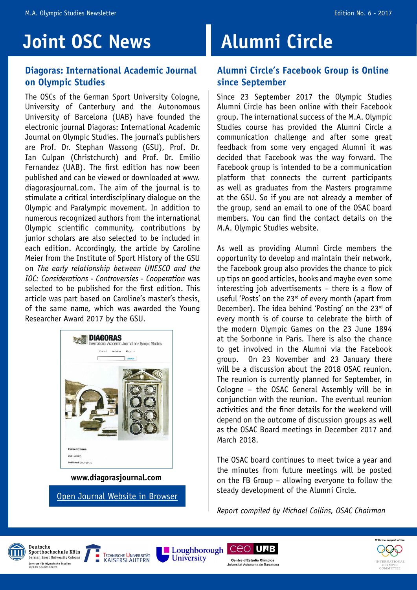### **Joint OSC News**

### **Diagoras: International Academic Journal on Olympic Studies**

The OSCs of the German Sport University Cologne, University of Canterbury and the Autonomous University of Barcelona (UAB) have founded the electronic journal Diagoras: International Academic Journal on Olympic Studies. The journal's publishers are Prof. Dr. Stephan Wassong (GSU), Prof. Dr. Ian Culpan (Christchurch) and Prof. Dr. Emilio Fernandez (UAB). The first edition has now been published and can be viewed or downloaded at www. diagorasjournal.com. The aim of the journal is to stimulate a critical interdisciplinary dialogue on the Olympic and Paralympic movement. In addition to numerous recognized authors from the international Olympic scientific community, contributions by junior scholars are also selected to be included in each edition. Accordingly, the article by Caroline Meier from the Institute of Sport History of the GSU on *The early relationship between UNESCO and the IOC: Considerations - Controversies - Cooperation* was selected to be published for the first edition. This article was part based on Caroline's master's thesis, of the same name, which was awarded the Young Researcher Award 2017 by the GSU.



**<www.diagorasjournal.com>**

[Open Journal Website in Browser](http://diagorasjournal.com)

### **Alumni Circle**

#### **Alumni Circle's Facebook Group is Online since September**

Since 23 September 2017 the Olympic Studies Alumni Circle has been online with their Facebook group. The international success of the M.A. Olympic Studies course has provided the Alumni Circle a communication challenge and after some great feedback from some very engaged Alumni it was decided that Facebook was the way forward. The Facebook group is intended to be a communication platform that connects the current participants as well as graduates from the Masters programme at the GSU. So if you are not already a member of the group, send an email to one of the OSAC board members. You can find the contact details on the M.A. Olympic Studies website.

As well as providing Alumni Circle members the opportunity to develop and maintain their network, the Facebook group also provides the chance to pick up tips on good articles, books and maybe even some interesting job advertisements – there is a flow of useful 'Posts' on the 23<sup>rd</sup> of every month (apart from December). The idea behind 'Posting' on the  $23<sup>rd</sup>$  of every month is of course to celebrate the birth of the modern Olympic Games on the 23 June 1894 at the Sorbonne in Paris. There is also the chance to get involved in the Alumni via the Facebook group. On 23 November and 23 January there will be a discussion about the 2018 OSAC reunion. The reunion is currently planned for September, in Cologne – the OSAC General Assembly will be in conjunction with the reunion. The eventual reunion activities and the finer details for the weekend will depend on the outcome of discussion groups as well as the OSAC Board meetings in December 2017 and March 2018.

The OSAC board continues to meet twice a year and the minutes from future meetings will be posted on the FB Group – allowing everyone to follow the steady development of the Alumni Circle.

*Report compiled by Michael Collins, OSAC Chairman*







University